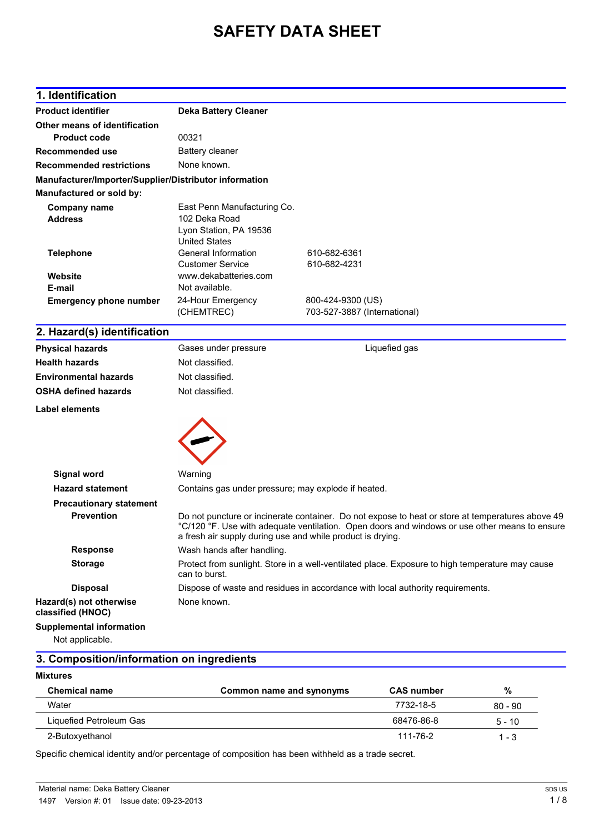# **SAFETY DATA SHEET**

## **1. Identification**

| 1. Identification                                      |                                                            |                                                                                                                                                                                                   |
|--------------------------------------------------------|------------------------------------------------------------|---------------------------------------------------------------------------------------------------------------------------------------------------------------------------------------------------|
| <b>Product identifier</b>                              | <b>Deka Battery Cleaner</b>                                |                                                                                                                                                                                                   |
| Other means of identification                          |                                                            |                                                                                                                                                                                                   |
| <b>Product code</b>                                    | 00321                                                      |                                                                                                                                                                                                   |
| Recommended use                                        | Battery cleaner                                            |                                                                                                                                                                                                   |
| <b>Recommended restrictions</b>                        | None known.                                                |                                                                                                                                                                                                   |
| Manufacturer/Importer/Supplier/Distributor information |                                                            |                                                                                                                                                                                                   |
| Manufactured or sold by:                               |                                                            |                                                                                                                                                                                                   |
| <b>Company name</b>                                    | East Penn Manufacturing Co.                                |                                                                                                                                                                                                   |
| <b>Address</b>                                         | 102 Deka Road                                              |                                                                                                                                                                                                   |
|                                                        | Lyon Station, PA 19536<br><b>United States</b>             |                                                                                                                                                                                                   |
| <b>Telephone</b>                                       | General Information                                        | 610-682-6361                                                                                                                                                                                      |
|                                                        | <b>Customer Service</b>                                    | 610-682-4231                                                                                                                                                                                      |
| Website                                                | www.dekabatteries.com                                      |                                                                                                                                                                                                   |
| E-mail                                                 | Not available.                                             |                                                                                                                                                                                                   |
| <b>Emergency phone number</b>                          | 24-Hour Emergency                                          | 800-424-9300 (US)                                                                                                                                                                                 |
|                                                        | (CHEMTREC)                                                 | 703-527-3887 (International)                                                                                                                                                                      |
| 2. Hazard(s) identification                            |                                                            |                                                                                                                                                                                                   |
| <b>Physical hazards</b>                                | Gases under pressure                                       | Liquefied gas                                                                                                                                                                                     |
| <b>Health hazards</b>                                  | Not classified.                                            |                                                                                                                                                                                                   |
| <b>Environmental hazards</b>                           | Not classified.                                            |                                                                                                                                                                                                   |
| <b>OSHA defined hazards</b>                            | Not classified.                                            |                                                                                                                                                                                                   |
| Label elements                                         |                                                            |                                                                                                                                                                                                   |
|                                                        |                                                            |                                                                                                                                                                                                   |
|                                                        |                                                            |                                                                                                                                                                                                   |
|                                                        |                                                            |                                                                                                                                                                                                   |
|                                                        |                                                            |                                                                                                                                                                                                   |
| <b>Signal word</b>                                     | Warning                                                    |                                                                                                                                                                                                   |
| <b>Hazard statement</b>                                | Contains gas under pressure; may explode if heated.        |                                                                                                                                                                                                   |
| <b>Precautionary statement</b>                         |                                                            |                                                                                                                                                                                                   |
| <b>Prevention</b>                                      |                                                            | Do not puncture or incinerate container. Do not expose to heat or store at temperatures above 49<br>°C/120 °F. Use with adequate ventilation. Open doors and windows or use other means to ensure |
|                                                        | a fresh air supply during use and while product is drying. |                                                                                                                                                                                                   |
| <b>Response</b>                                        | Wash hands after handling.                                 |                                                                                                                                                                                                   |
| <b>Storage</b>                                         | can to burst.                                              | Protect from sunlight. Store in a well-ventilated place. Exposure to high temperature may cause                                                                                                   |
| <b>Disposal</b>                                        |                                                            | Dispose of waste and residues in accordance with local authority requirements.                                                                                                                    |
| Hazard(s) not otherwise<br>classified (HNOC)           | None known.                                                |                                                                                                                                                                                                   |

## **Supplemental information** Not applicable.

# **3. Composition/information on ingredients**

| <b>Mixtures</b>         |                          |                   |           |  |
|-------------------------|--------------------------|-------------------|-----------|--|
| <b>Chemical name</b>    | Common name and synonyms | <b>CAS</b> number | %         |  |
| Water                   |                          | 7732-18-5         | $80 - 90$ |  |
| Liquefied Petroleum Gas |                          | 68476-86-8        | $5 - 10$  |  |
| 2-Butoxyethanol         |                          | 111-76-2          | 1 - 3     |  |

Specific chemical identity and/or percentage of composition has been withheld as a trade secret.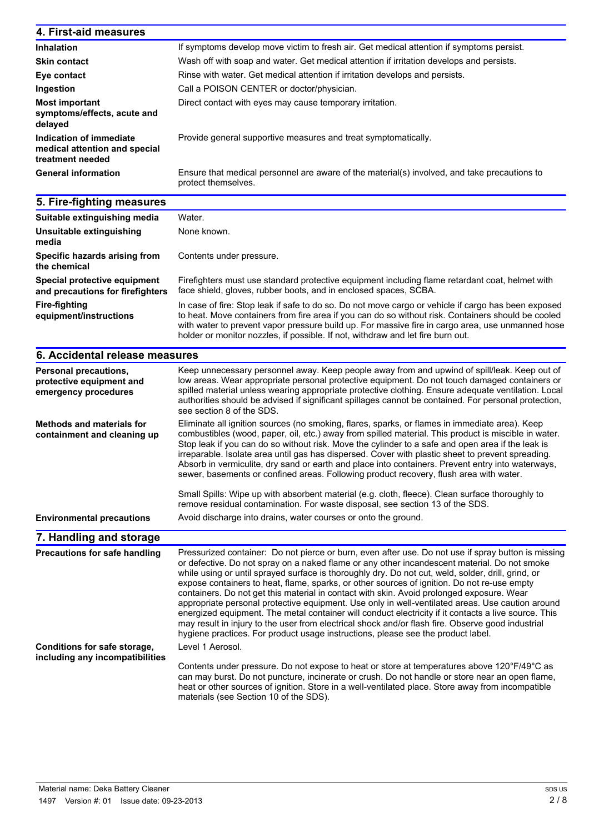| 4. First-aid measures                                                        |                                                                                                                                                                                                                                                                                                                                                                                                                                                                                                                                                                                                                                                                                                                                                                                                                                                                                                            |
|------------------------------------------------------------------------------|------------------------------------------------------------------------------------------------------------------------------------------------------------------------------------------------------------------------------------------------------------------------------------------------------------------------------------------------------------------------------------------------------------------------------------------------------------------------------------------------------------------------------------------------------------------------------------------------------------------------------------------------------------------------------------------------------------------------------------------------------------------------------------------------------------------------------------------------------------------------------------------------------------|
| <b>Inhalation</b>                                                            | If symptoms develop move victim to fresh air. Get medical attention if symptoms persist.                                                                                                                                                                                                                                                                                                                                                                                                                                                                                                                                                                                                                                                                                                                                                                                                                   |
| <b>Skin contact</b>                                                          | Wash off with soap and water. Get medical attention if irritation develops and persists.                                                                                                                                                                                                                                                                                                                                                                                                                                                                                                                                                                                                                                                                                                                                                                                                                   |
| Eye contact                                                                  | Rinse with water. Get medical attention if irritation develops and persists.                                                                                                                                                                                                                                                                                                                                                                                                                                                                                                                                                                                                                                                                                                                                                                                                                               |
| Ingestion                                                                    | Call a POISON CENTER or doctor/physician.                                                                                                                                                                                                                                                                                                                                                                                                                                                                                                                                                                                                                                                                                                                                                                                                                                                                  |
| <b>Most important</b>                                                        | Direct contact with eyes may cause temporary irritation.                                                                                                                                                                                                                                                                                                                                                                                                                                                                                                                                                                                                                                                                                                                                                                                                                                                   |
| symptoms/effects, acute and<br>delayed                                       |                                                                                                                                                                                                                                                                                                                                                                                                                                                                                                                                                                                                                                                                                                                                                                                                                                                                                                            |
| Indication of immediate<br>medical attention and special<br>treatment needed | Provide general supportive measures and treat symptomatically.                                                                                                                                                                                                                                                                                                                                                                                                                                                                                                                                                                                                                                                                                                                                                                                                                                             |
| <b>General information</b>                                                   | Ensure that medical personnel are aware of the material(s) involved, and take precautions to<br>protect themselves.                                                                                                                                                                                                                                                                                                                                                                                                                                                                                                                                                                                                                                                                                                                                                                                        |
| 5. Fire-fighting measures                                                    |                                                                                                                                                                                                                                                                                                                                                                                                                                                                                                                                                                                                                                                                                                                                                                                                                                                                                                            |
| Suitable extinguishing media                                                 | Water.                                                                                                                                                                                                                                                                                                                                                                                                                                                                                                                                                                                                                                                                                                                                                                                                                                                                                                     |
| Unsuitable extinguishing<br>media                                            | None known.                                                                                                                                                                                                                                                                                                                                                                                                                                                                                                                                                                                                                                                                                                                                                                                                                                                                                                |
| Specific hazards arising from<br>the chemical                                | Contents under pressure.                                                                                                                                                                                                                                                                                                                                                                                                                                                                                                                                                                                                                                                                                                                                                                                                                                                                                   |
| Special protective equipment<br>and precautions for firefighters             | Firefighters must use standard protective equipment including flame retardant coat, helmet with<br>face shield, gloves, rubber boots, and in enclosed spaces, SCBA.                                                                                                                                                                                                                                                                                                                                                                                                                                                                                                                                                                                                                                                                                                                                        |
| <b>Fire-fighting</b><br>equipment/instructions                               | In case of fire: Stop leak if safe to do so. Do not move cargo or vehicle if cargo has been exposed<br>to heat. Move containers from fire area if you can do so without risk. Containers should be cooled<br>with water to prevent vapor pressure build up. For massive fire in cargo area, use unmanned hose<br>holder or monitor nozzles, if possible. If not, withdraw and let fire burn out.                                                                                                                                                                                                                                                                                                                                                                                                                                                                                                           |
| 6. Accidental release measures                                               |                                                                                                                                                                                                                                                                                                                                                                                                                                                                                                                                                                                                                                                                                                                                                                                                                                                                                                            |
| Personal precautions,<br>protective equipment and<br>emergency procedures    | Keep unnecessary personnel away. Keep people away from and upwind of spill/leak. Keep out of<br>low areas. Wear appropriate personal protective equipment. Do not touch damaged containers or<br>spilled material unless wearing appropriate protective clothing. Ensure adequate ventilation. Local<br>authorities should be advised if significant spillages cannot be contained. For personal protection,<br>see section 8 of the SDS.                                                                                                                                                                                                                                                                                                                                                                                                                                                                  |
| <b>Methods and materials for</b><br>containment and cleaning up              | Eliminate all ignition sources (no smoking, flares, sparks, or flames in immediate area). Keep<br>combustibles (wood, paper, oil, etc.) away from spilled material. This product is miscible in water.<br>Stop leak if you can do so without risk. Move the cylinder to a safe and open area if the leak is<br>irreparable. Isolate area until gas has dispersed. Cover with plastic sheet to prevent spreading.<br>Absorb in vermiculite, dry sand or earth and place into containers. Prevent entry into waterways,<br>sewer, basements or confined areas. Following product recovery, flush area with water.                                                                                                                                                                                                                                                                                            |
|                                                                              | Small Spills: Wipe up with absorbent material (e.g. cloth, fleece). Clean surface thoroughly to<br>remove residual contamination. For waste disposal, see section 13 of the SDS.                                                                                                                                                                                                                                                                                                                                                                                                                                                                                                                                                                                                                                                                                                                           |
| <b>Environmental precautions</b>                                             | Avoid discharge into drains, water courses or onto the ground.                                                                                                                                                                                                                                                                                                                                                                                                                                                                                                                                                                                                                                                                                                                                                                                                                                             |
| 7. Handling and storage                                                      |                                                                                                                                                                                                                                                                                                                                                                                                                                                                                                                                                                                                                                                                                                                                                                                                                                                                                                            |
| <b>Precautions for safe handling</b>                                         | Pressurized container: Do not pierce or burn, even after use. Do not use if spray button is missing<br>or defective. Do not spray on a naked flame or any other incandescent material. Do not smoke<br>while using or until sprayed surface is thoroughly dry. Do not cut, weld, solder, drill, grind, or<br>expose containers to heat, flame, sparks, or other sources of ignition. Do not re-use empty<br>containers. Do not get this material in contact with skin. Avoid prolonged exposure. Wear<br>appropriate personal protective equipment. Use only in well-ventilated areas. Use caution around<br>energized equipment. The metal container will conduct electricity if it contacts a live source. This<br>may result in injury to the user from electrical shock and/or flash fire. Observe good industrial<br>hygiene practices. For product usage instructions, please see the product label. |
| Conditions for safe storage,<br>including any incompatibilities              | Level 1 Aerosol.<br>Contents under pressure. Do not expose to heat or store at temperatures above 120°F/49°C as<br>can may burst. Do not puncture, incinerate or crush. Do not handle or store near an open flame,<br>heat or other sources of ignition. Store in a well-ventilated place. Store away from incompatible<br>materials (see Section 10 of the SDS).                                                                                                                                                                                                                                                                                                                                                                                                                                                                                                                                          |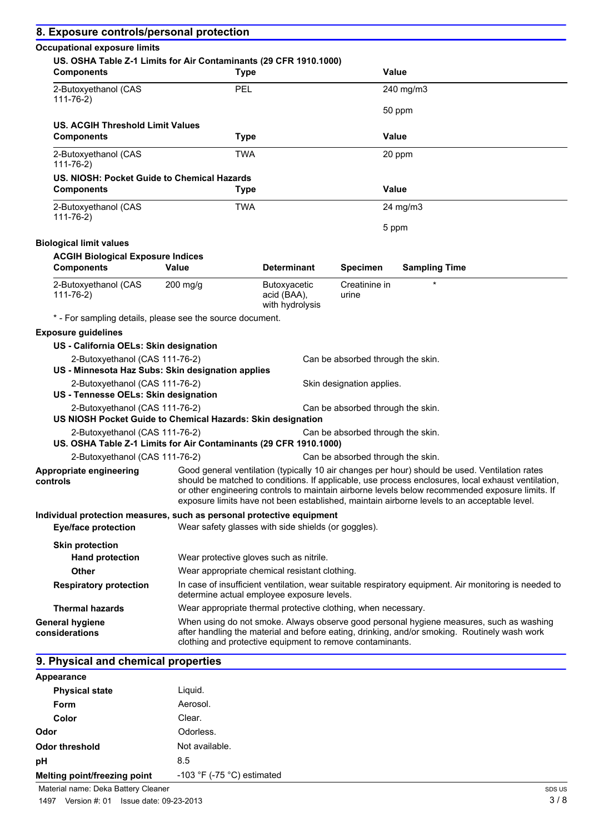| 8. Exposure controls/personal protection                                                            |                                                               |                                                                                                                                                                                                                                                                                                                                                                                                        |                                   |                                                                                                                                                                                         |
|-----------------------------------------------------------------------------------------------------|---------------------------------------------------------------|--------------------------------------------------------------------------------------------------------------------------------------------------------------------------------------------------------------------------------------------------------------------------------------------------------------------------------------------------------------------------------------------------------|-----------------------------------|-----------------------------------------------------------------------------------------------------------------------------------------------------------------------------------------|
| <b>Occupational exposure limits</b>                                                                 |                                                               |                                                                                                                                                                                                                                                                                                                                                                                                        |                                   |                                                                                                                                                                                         |
| US. OSHA Table Z-1 Limits for Air Contaminants (29 CFR 1910.1000)<br><b>Components</b>              | <b>Type</b>                                                   |                                                                                                                                                                                                                                                                                                                                                                                                        |                                   | Value                                                                                                                                                                                   |
| 2-Butoxyethanol (CAS                                                                                | PEL                                                           |                                                                                                                                                                                                                                                                                                                                                                                                        |                                   | 240 mg/m3                                                                                                                                                                               |
| $111 - 76 - 2)$                                                                                     |                                                               |                                                                                                                                                                                                                                                                                                                                                                                                        |                                   | 50 ppm                                                                                                                                                                                  |
| <b>US. ACGIH Threshold Limit Values</b>                                                             |                                                               |                                                                                                                                                                                                                                                                                                                                                                                                        |                                   |                                                                                                                                                                                         |
| <b>Components</b>                                                                                   | <b>Type</b>                                                   |                                                                                                                                                                                                                                                                                                                                                                                                        |                                   | Value                                                                                                                                                                                   |
| 2-Butoxyethanol (CAS<br>$111 - 76 - 2)$                                                             | <b>TWA</b>                                                    |                                                                                                                                                                                                                                                                                                                                                                                                        |                                   | 20 ppm                                                                                                                                                                                  |
| US. NIOSH: Pocket Guide to Chemical Hazards<br><b>Components</b>                                    | <b>Type</b>                                                   |                                                                                                                                                                                                                                                                                                                                                                                                        |                                   | Value                                                                                                                                                                                   |
| 2-Butoxyethanol (CAS                                                                                | <b>TWA</b>                                                    |                                                                                                                                                                                                                                                                                                                                                                                                        |                                   | 24 mg/m3                                                                                                                                                                                |
| $111 - 76 - 2)$                                                                                     |                                                               |                                                                                                                                                                                                                                                                                                                                                                                                        |                                   | 5 ppm                                                                                                                                                                                   |
| <b>Biological limit values</b>                                                                      |                                                               |                                                                                                                                                                                                                                                                                                                                                                                                        |                                   |                                                                                                                                                                                         |
| <b>ACGIH Biological Exposure Indices</b>                                                            |                                                               |                                                                                                                                                                                                                                                                                                                                                                                                        |                                   |                                                                                                                                                                                         |
| <b>Components</b>                                                                                   | <b>Value</b>                                                  | <b>Determinant</b>                                                                                                                                                                                                                                                                                                                                                                                     | <b>Specimen</b>                   | <b>Sampling Time</b>                                                                                                                                                                    |
| 2-Butoxyethanol (CAS<br>$111 - 76 - 2)$                                                             | $200$ mg/g                                                    | Butoxyacetic<br>acid (BAA),<br>with hydrolysis                                                                                                                                                                                                                                                                                                                                                         | Creatinine in<br>urine            | $\star$                                                                                                                                                                                 |
| * - For sampling details, please see the source document.                                           |                                                               |                                                                                                                                                                                                                                                                                                                                                                                                        |                                   |                                                                                                                                                                                         |
| <b>Exposure guidelines</b>                                                                          |                                                               |                                                                                                                                                                                                                                                                                                                                                                                                        |                                   |                                                                                                                                                                                         |
| US - California OELs: Skin designation                                                              |                                                               |                                                                                                                                                                                                                                                                                                                                                                                                        |                                   |                                                                                                                                                                                         |
| 2-Butoxyethanol (CAS 111-76-2)                                                                      |                                                               |                                                                                                                                                                                                                                                                                                                                                                                                        | Can be absorbed through the skin. |                                                                                                                                                                                         |
| US - Minnesota Haz Subs: Skin designation applies<br>2-Butoxyethanol (CAS 111-76-2)                 |                                                               |                                                                                                                                                                                                                                                                                                                                                                                                        | Skin designation applies.         |                                                                                                                                                                                         |
| US - Tennesse OELs: Skin designation                                                                |                                                               |                                                                                                                                                                                                                                                                                                                                                                                                        |                                   |                                                                                                                                                                                         |
| 2-Butoxyethanol (CAS 111-76-2)<br>US NIOSH Pocket Guide to Chemical Hazards: Skin designation       |                                                               |                                                                                                                                                                                                                                                                                                                                                                                                        | Can be absorbed through the skin. |                                                                                                                                                                                         |
| 2-Butoxyethanol (CAS 111-76-2)<br>US. OSHA Table Z-1 Limits for Air Contaminants (29 CFR 1910.1000) |                                                               |                                                                                                                                                                                                                                                                                                                                                                                                        | Can be absorbed through the skin. |                                                                                                                                                                                         |
| 2-Butoxyethanol (CAS 111-76-2)                                                                      |                                                               |                                                                                                                                                                                                                                                                                                                                                                                                        | Can be absorbed through the skin. |                                                                                                                                                                                         |
| Appropriate engineering<br>controls                                                                 |                                                               | Good general ventilation (typically 10 air changes per hour) should be used. Ventilation rates<br>should be matched to conditions. If applicable, use process enclosures, local exhaust ventilation,<br>or other engineering controls to maintain airborne levels below recommended exposure limits. If<br>exposure limits have not been established, maintain airborne levels to an acceptable level. |                                   |                                                                                                                                                                                         |
| Individual protection measures, such as personal protective equipment                               |                                                               |                                                                                                                                                                                                                                                                                                                                                                                                        |                                   |                                                                                                                                                                                         |
| <b>Eye/face protection</b>                                                                          | Wear safety glasses with side shields (or goggles).           |                                                                                                                                                                                                                                                                                                                                                                                                        |                                   |                                                                                                                                                                                         |
| <b>Skin protection</b>                                                                              |                                                               |                                                                                                                                                                                                                                                                                                                                                                                                        |                                   |                                                                                                                                                                                         |
| <b>Hand protection</b>                                                                              | Wear protective gloves such as nitrile.                       |                                                                                                                                                                                                                                                                                                                                                                                                        |                                   |                                                                                                                                                                                         |
| Other                                                                                               | Wear appropriate chemical resistant clothing.                 |                                                                                                                                                                                                                                                                                                                                                                                                        |                                   |                                                                                                                                                                                         |
| <b>Respiratory protection</b>                                                                       | determine actual employee exposure levels.                    |                                                                                                                                                                                                                                                                                                                                                                                                        |                                   | In case of insufficient ventilation, wear suitable respiratory equipment. Air monitoring is needed to                                                                                   |
| <b>Thermal hazards</b>                                                                              | Wear appropriate thermal protective clothing, when necessary. |                                                                                                                                                                                                                                                                                                                                                                                                        |                                   |                                                                                                                                                                                         |
| <b>General hygiene</b><br>considerations                                                            | clothing and protective equipment to remove contaminants.     |                                                                                                                                                                                                                                                                                                                                                                                                        |                                   | When using do not smoke. Always observe good personal hygiene measures, such as washing<br>after handling the material and before eating, drinking, and/or smoking. Routinely wash work |
| 9. Physical and chemical properties                                                                 |                                                               |                                                                                                                                                                                                                                                                                                                                                                                                        |                                   |                                                                                                                                                                                         |
| <b>Appearance</b>                                                                                   |                                                               |                                                                                                                                                                                                                                                                                                                                                                                                        |                                   |                                                                                                                                                                                         |
| <b>Physical state</b>                                                                               | Liquid.                                                       |                                                                                                                                                                                                                                                                                                                                                                                                        |                                   |                                                                                                                                                                                         |
| Form                                                                                                | Aerosol.                                                      |                                                                                                                                                                                                                                                                                                                                                                                                        |                                   |                                                                                                                                                                                         |

| Form                         | Aerosol.                        |
|------------------------------|---------------------------------|
| Color                        | Clear.                          |
| Odor                         | Odorless.                       |
| Odor threshold               | Not available.                  |
| рH                           | 8.5                             |
| Melting point/freezing point | $-103$ °F ( $-75$ °C) estimated |
|                              |                                 |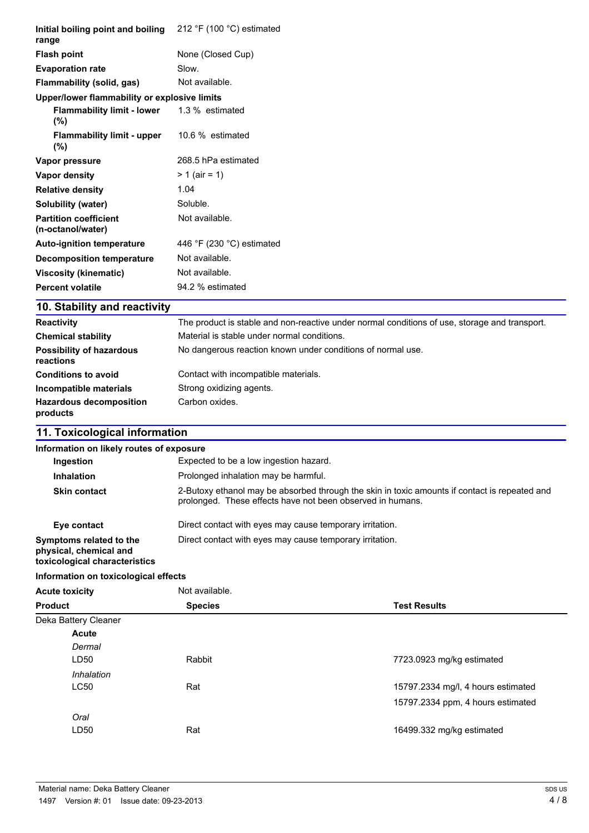| Initial boiling point and boiling<br>range        | 212 °F (100 °C) estimated |
|---------------------------------------------------|---------------------------|
| <b>Flash point</b>                                | None (Closed Cup)         |
| <b>Evaporation rate</b>                           | Slow.                     |
| Flammability (solid, gas)                         | Not available.            |
| Upper/lower flammability or explosive limits      |                           |
| <b>Flammability limit - lower</b><br>$(\%)$       | 1.3 % estimated           |
| <b>Flammability limit - upper</b><br>$(\%)$       | 10.6 % estimated          |
| Vapor pressure                                    | 268.5 hPa estimated       |
| <b>Vapor density</b>                              | $> 1$ (air = 1)           |
| <b>Relative density</b>                           | 1.04                      |
| Solubility (water)                                | Soluble.                  |
| <b>Partition coefficient</b><br>(n-octanol/water) | Not available.            |
| <b>Auto-ignition temperature</b>                  | 446 °F (230 °C) estimated |
| <b>Decomposition temperature</b>                  | Not available.            |
| <b>Viscosity (kinematic)</b>                      | Not available.            |
| <b>Percent volatile</b>                           | 94.2 % estimated          |
| 10. Stability and reactivity                      |                           |

| <b>Reactivity</b>                            | The product is stable and non-reactive under normal conditions of use, storage and transport. |
|----------------------------------------------|-----------------------------------------------------------------------------------------------|
| <b>Chemical stability</b>                    | Material is stable under normal conditions.                                                   |
| <b>Possibility of hazardous</b><br>reactions | No dangerous reaction known under conditions of normal use.                                   |
| <b>Conditions to avoid</b>                   | Contact with incompatible materials.                                                          |
| Incompatible materials                       | Strong oxidizing agents.                                                                      |
| <b>Hazardous decomposition</b><br>products   | Carbon oxides.                                                                                |

# **11. Toxicological information**

| Information on likely routes of exposure                                           |                                                                                                                                                             |
|------------------------------------------------------------------------------------|-------------------------------------------------------------------------------------------------------------------------------------------------------------|
| <b>Ingestion</b>                                                                   | Expected to be a low ingestion hazard.                                                                                                                      |
| <b>Inhalation</b>                                                                  | Prolonged inhalation may be harmful.                                                                                                                        |
| <b>Skin contact</b>                                                                | 2-Butoxy ethanol may be absorbed through the skin in toxic amounts if contact is repeated and<br>prolonged. These effects have not been observed in humans. |
| Eye contact                                                                        | Direct contact with eyes may cause temporary irritation.                                                                                                    |
| Symptoms related to the<br>physical, chemical and<br>toxicological characteristics | Direct contact with eyes may cause temporary irritation.                                                                                                    |
|                                                                                    |                                                                                                                                                             |

# **Information on toxicological effects**

| <b>Acute toxicity</b> | Not available. |                                    |
|-----------------------|----------------|------------------------------------|
| <b>Product</b>        | <b>Species</b> | <b>Test Results</b>                |
| Deka Battery Cleaner  |                |                                    |
| <b>Acute</b>          |                |                                    |
| Dermal                |                |                                    |
| LD50                  | Rabbit         | 7723.0923 mg/kg estimated          |
| Inhalation            |                |                                    |
| <b>LC50</b>           | Rat            | 15797.2334 mg/l, 4 hours estimated |
|                       |                | 15797.2334 ppm, 4 hours estimated  |
| Oral                  |                |                                    |
| LD50                  | Rat            | 16499.332 mg/kg estimated          |
|                       |                |                                    |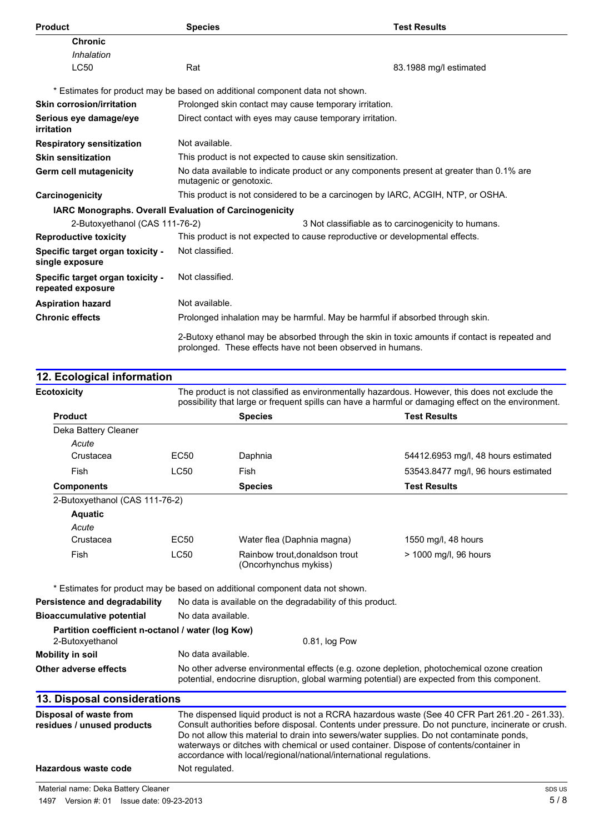| <b>Product</b>                                                               | <b>Species</b>                                                                                                                                              |                                                                                                                                                                                                       | <b>Test Results</b>                                                             |  |
|------------------------------------------------------------------------------|-------------------------------------------------------------------------------------------------------------------------------------------------------------|-------------------------------------------------------------------------------------------------------------------------------------------------------------------------------------------------------|---------------------------------------------------------------------------------|--|
| <b>Chronic</b>                                                               |                                                                                                                                                             |                                                                                                                                                                                                       |                                                                                 |  |
| Inhalation                                                                   |                                                                                                                                                             |                                                                                                                                                                                                       |                                                                                 |  |
| <b>LC50</b>                                                                  | Rat                                                                                                                                                         |                                                                                                                                                                                                       | 83.1988 mg/l estimated                                                          |  |
| * Estimates for product may be based on additional component data not shown. |                                                                                                                                                             |                                                                                                                                                                                                       |                                                                                 |  |
| <b>Skin corrosion/irritation</b>                                             |                                                                                                                                                             | Prolonged skin contact may cause temporary irritation.                                                                                                                                                |                                                                                 |  |
| Serious eye damage/eye<br>irritation                                         |                                                                                                                                                             | Direct contact with eyes may cause temporary irritation.                                                                                                                                              |                                                                                 |  |
| <b>Respiratory sensitization</b>                                             | Not available.                                                                                                                                              |                                                                                                                                                                                                       |                                                                                 |  |
| <b>Skin sensitization</b>                                                    |                                                                                                                                                             | This product is not expected to cause skin sensitization.                                                                                                                                             |                                                                                 |  |
| Germ cell mutagenicity                                                       |                                                                                                                                                             | No data available to indicate product or any components present at greater than 0.1% are<br>mutagenic or genotoxic.                                                                                   |                                                                                 |  |
| Carcinogenicity                                                              |                                                                                                                                                             |                                                                                                                                                                                                       | This product is not considered to be a carcinogen by IARC, ACGIH, NTP, or OSHA. |  |
| IARC Monographs. Overall Evaluation of Carcinogenicity                       |                                                                                                                                                             |                                                                                                                                                                                                       |                                                                                 |  |
| 2-Butoxyethanol (CAS 111-76-2)                                               |                                                                                                                                                             |                                                                                                                                                                                                       | 3 Not classifiable as to carcinogenicity to humans.                             |  |
| <b>Reproductive toxicity</b>                                                 |                                                                                                                                                             | This product is not expected to cause reproductive or developmental effects.                                                                                                                          |                                                                                 |  |
| Specific target organ toxicity -<br>single exposure                          | Not classified.                                                                                                                                             |                                                                                                                                                                                                       |                                                                                 |  |
| Specific target organ toxicity -<br>repeated exposure                        | Not classified.                                                                                                                                             |                                                                                                                                                                                                       |                                                                                 |  |
| <b>Aspiration hazard</b>                                                     | Not available.                                                                                                                                              |                                                                                                                                                                                                       |                                                                                 |  |
| <b>Chronic effects</b>                                                       |                                                                                                                                                             |                                                                                                                                                                                                       | Prolonged inhalation may be harmful. May be harmful if absorbed through skin.   |  |
|                                                                              | 2-Butoxy ethanol may be absorbed through the skin in toxic amounts if contact is repeated and<br>prolonged. These effects have not been observed in humans. |                                                                                                                                                                                                       |                                                                                 |  |
| 12. Ecological information                                                   |                                                                                                                                                             |                                                                                                                                                                                                       |                                                                                 |  |
| <b>Ecotoxicity</b>                                                           |                                                                                                                                                             | The product is not classified as environmentally hazardous. However, this does not exclude the<br>possibility that large or frequent spills can have a harmful or damaging effect on the environment. |                                                                                 |  |
| <b>Product</b>                                                               |                                                                                                                                                             | <b>Species</b>                                                                                                                                                                                        | <b>Test Results</b>                                                             |  |
| Deka Battery Cleaner                                                         |                                                                                                                                                             |                                                                                                                                                                                                       |                                                                                 |  |
| Acute                                                                        |                                                                                                                                                             |                                                                                                                                                                                                       |                                                                                 |  |
| Crustacea                                                                    | <b>EC50</b>                                                                                                                                                 | Daphnia                                                                                                                                                                                               | 54412.6953 mg/l, 48 hours estimated                                             |  |

| Fish                           | _C50 | Fish           | 53543.8477 mg/l, 96 hours estimated |
|--------------------------------|------|----------------|-------------------------------------|
| <b>Components</b>              |      | <b>Species</b> | <b>Test Results</b>                 |
| 2-Butoxyethanol (CAS 111-76-2) |      |                |                                     |
|                                |      |                |                                     |

| 2-DUWAVCLIMINI (OAO TIT-10-2) |      |                                                         |                       |  |
|-------------------------------|------|---------------------------------------------------------|-----------------------|--|
| <b>Aquatic</b>                |      |                                                         |                       |  |
| Acute                         |      |                                                         |                       |  |
| Crustacea                     | EC50 | Water flea (Daphnia magna)                              | 1550 mg/l, 48 hours   |  |
| Fish                          | LC50 | Rainbow trout, donaldson trout<br>(Oncorhynchus mykiss) | > 1000 mg/l, 96 hours |  |

\* Estimates for product may be based on additional component data not shown.

**Persistence and degradability** No data is available on the degradability of this product.

| <b>Bioaccumulative potential</b>                                     | No data available.                                                                                                                                                                         |  |  |
|----------------------------------------------------------------------|--------------------------------------------------------------------------------------------------------------------------------------------------------------------------------------------|--|--|
| Partition coefficient n-octanol / water (log Kow)<br>2-Butoxyethanol | 0.81, log Pow                                                                                                                                                                              |  |  |
| <b>Mobility in soil</b>                                              | No data available.                                                                                                                                                                         |  |  |
| Other adverse effects                                                | No other adverse environmental effects (e.g. ozone depletion, photochemical ozone creation<br>potential, endocrine disruption, global warming potential) are expected from this component. |  |  |
| 13. Disposal considerations                                          |                                                                                                                                                                                            |  |  |
| Dianocal of woote from                                               | The dispensed liquid product is not a DCDA became used to consider the Best 201, 201, 201, 201                                                                                             |  |  |

| Disposal of waste from<br>residues / unused products | The dispensed liquid product is not a RCRA hazardous waste (See 40 CFR Part 261.20 - 261.33).<br>Consult authorities before disposal. Contents under pressure. Do not puncture, incinerate or crush.<br>Do not allow this material to drain into sewers/water supplies. Do not contaminate ponds,<br>waterways or ditches with chemical or used container. Dispose of contents/container in<br>accordance with local/regional/national/international regulations. |
|------------------------------------------------------|-------------------------------------------------------------------------------------------------------------------------------------------------------------------------------------------------------------------------------------------------------------------------------------------------------------------------------------------------------------------------------------------------------------------------------------------------------------------|
| Hazardous waste code                                 | Not regulated.                                                                                                                                                                                                                                                                                                                                                                                                                                                    |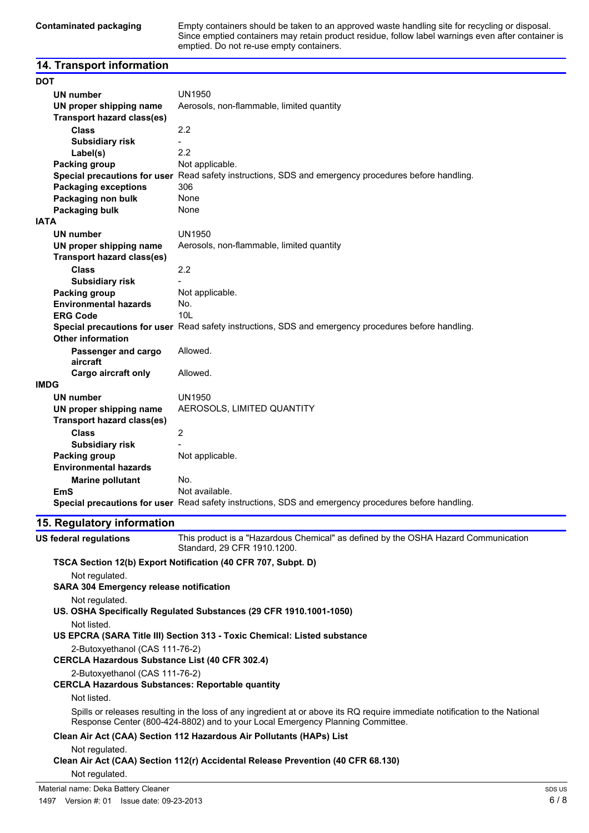**Contaminated packaging** Empty containers should be taken to an approved waste handling site for recycling or disposal. Since emptied containers may retain product residue, follow label warnings even after container is emptied. Do not re-use empty containers.

## **14. Transport information**

| <b>DOT</b>                        |                                                                                                      |
|-----------------------------------|------------------------------------------------------------------------------------------------------|
| <b>UN number</b>                  | <b>UN1950</b>                                                                                        |
| UN proper shipping name           | Aerosols, non-flammable, limited quantity                                                            |
| <b>Transport hazard class(es)</b> |                                                                                                      |
| <b>Class</b>                      | 2.2                                                                                                  |
| <b>Subsidiary risk</b>            |                                                                                                      |
| Label(s)                          | 2.2                                                                                                  |
| <b>Packing group</b>              | Not applicable.                                                                                      |
|                                   | Special precautions for user Read safety instructions, SDS and emergency procedures before handling. |
| <b>Packaging exceptions</b>       | 306                                                                                                  |
| Packaging non bulk                | None                                                                                                 |
| Packaging bulk                    | None                                                                                                 |
| <b>IATA</b>                       |                                                                                                      |
| UN number                         | <b>UN1950</b>                                                                                        |
| UN proper shipping name           | Aerosols, non-flammable, limited quantity                                                            |
| <b>Transport hazard class(es)</b> |                                                                                                      |
| <b>Class</b>                      | 2.2                                                                                                  |
| <b>Subsidiary risk</b>            |                                                                                                      |
| Packing group                     | Not applicable.                                                                                      |
| <b>Environmental hazards</b>      | No.                                                                                                  |
| <b>ERG Code</b>                   | 10 <sub>L</sub>                                                                                      |
|                                   | Special precautions for user Read safety instructions, SDS and emergency procedures before handling. |
| <b>Other information</b>          |                                                                                                      |
| Passenger and cargo               | Allowed.                                                                                             |
| aircraft                          |                                                                                                      |
| <b>Cargo aircraft only</b>        | Allowed.                                                                                             |
| <b>IMDG</b>                       |                                                                                                      |
| UN number                         | <b>UN1950</b>                                                                                        |
| UN proper shipping name           | AEROSOLS, LIMITED QUANTITY                                                                           |
| <b>Transport hazard class(es)</b> |                                                                                                      |
| <b>Class</b>                      | 2                                                                                                    |
| <b>Subsidiary risk</b>            |                                                                                                      |
| Packing group                     | Not applicable.                                                                                      |
| <b>Environmental hazards</b>      |                                                                                                      |
| <b>Marine pollutant</b>           | No.                                                                                                  |
| <b>EmS</b>                        | Not available.                                                                                       |
|                                   | Special precautions for user Read safety instructions, SDS and emergency procedures before handling. |

#### **15. Regulatory information**

**US federal regulations** This product is a "Hazardous Chemical" as defined by the OSHA Hazard Communication Standard, 29 CFR 1910.1200.

#### **TSCA Section 12(b) Export Notification (40 CFR 707, Subpt. D)**

Not regulated.

**SARA 304 Emergency release notification**

Not regulated.

**US. OSHA Specifically Regulated Substances (29 CFR 1910.1001-1050)**

Not listed.

**US EPCRA (SARA Title III) Section 313 - Toxic Chemical: Listed substance**

2-Butoxyethanol (CAS 111-76-2)

**CERCLA Hazardous Substance List (40 CFR 302.4)**

2-Butoxyethanol (CAS 111-76-2)

#### **CERCLA Hazardous Substances: Reportable quantity**

Not listed.

Spills or releases resulting in the loss of any ingredient at or above its RQ require immediate notification to the National Response Center (800-424-8802) and to your Local Emergency Planning Committee.

**Clean Air Act (CAA) Section 112 Hazardous Air Pollutants (HAPs) List**

Not regulated.

**Clean Air Act (CAA) Section 112(r) Accidental Release Prevention (40 CFR 68.130)**

Not regulated.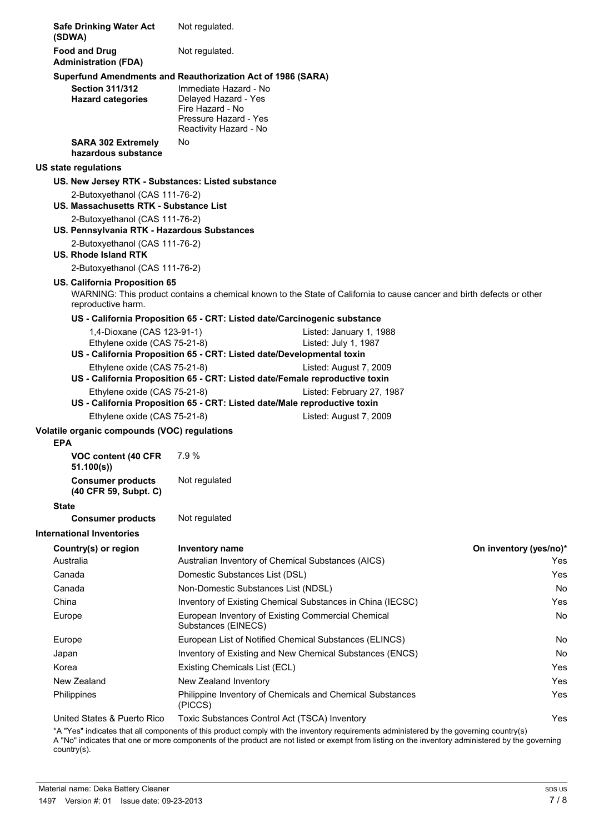| <b>Safe Drinking Water Act</b><br>(SDWA)                                      | Not regulated.                                                                                                       |                                                                                                                       |                        |
|-------------------------------------------------------------------------------|----------------------------------------------------------------------------------------------------------------------|-----------------------------------------------------------------------------------------------------------------------|------------------------|
| <b>Food and Drug</b><br><b>Administration (FDA)</b>                           | Not regulated.                                                                                                       |                                                                                                                       |                        |
|                                                                               | Superfund Amendments and Reauthorization Act of 1986 (SARA)                                                          |                                                                                                                       |                        |
| <b>Section 311/312</b><br><b>Hazard categories</b>                            | Immediate Hazard - No<br>Delayed Hazard - Yes<br>Fire Hazard - No<br>Pressure Hazard - Yes<br>Reactivity Hazard - No |                                                                                                                       |                        |
| <b>SARA 302 Extremely</b><br>hazardous substance                              | No                                                                                                                   |                                                                                                                       |                        |
| US state regulations                                                          |                                                                                                                      |                                                                                                                       |                        |
| US. New Jersey RTK - Substances: Listed substance                             |                                                                                                                      |                                                                                                                       |                        |
| 2-Butoxyethanol (CAS 111-76-2)<br>US. Massachusetts RTK - Substance List      |                                                                                                                      |                                                                                                                       |                        |
| 2-Butoxyethanol (CAS 111-76-2)<br>US. Pennsylvania RTK - Hazardous Substances |                                                                                                                      |                                                                                                                       |                        |
| 2-Butoxyethanol (CAS 111-76-2)<br>US. Rhode Island RTK                        |                                                                                                                      |                                                                                                                       |                        |
| 2-Butoxyethanol (CAS 111-76-2)                                                |                                                                                                                      |                                                                                                                       |                        |
| <b>US. California Proposition 65</b><br>reproductive harm.                    |                                                                                                                      | WARNING: This product contains a chemical known to the State of California to cause cancer and birth defects or other |                        |
|                                                                               | US - California Proposition 65 - CRT: Listed date/Carcinogenic substance                                             |                                                                                                                       |                        |
| 1,4-Dioxane (CAS 123-91-1)<br>Ethylene oxide (CAS 75-21-8)                    | US - California Proposition 65 - CRT: Listed date/Developmental toxin                                                | Listed: January 1, 1988<br>Listed: July 1, 1987                                                                       |                        |
| Ethylene oxide (CAS 75-21-8)                                                  |                                                                                                                      | Listed: August 7, 2009                                                                                                |                        |
|                                                                               | US - California Proposition 65 - CRT: Listed date/Female reproductive toxin                                          |                                                                                                                       |                        |
| Ethylene oxide (CAS 75-21-8)                                                  | US - California Proposition 65 - CRT: Listed date/Male reproductive toxin                                            | Listed: February 27, 1987                                                                                             |                        |
| Ethylene oxide (CAS 75-21-8)                                                  |                                                                                                                      | Listed: August 7, 2009                                                                                                |                        |
| Volatile organic compounds (VOC) regulations<br><b>EPA</b>                    |                                                                                                                      |                                                                                                                       |                        |
| VOC content (40 CFR<br>51.100(s)                                              | 7.9%                                                                                                                 |                                                                                                                       |                        |
| <b>Consumer products</b><br>(40 CFR 59, Subpt. C)                             | Not regulated                                                                                                        |                                                                                                                       |                        |
| <b>State</b>                                                                  |                                                                                                                      |                                                                                                                       |                        |
| <b>Consumer products</b>                                                      | Not regulated                                                                                                        |                                                                                                                       |                        |
| <b>International Inventories</b>                                              |                                                                                                                      |                                                                                                                       |                        |
| Country(s) or region                                                          | <b>Inventory name</b>                                                                                                |                                                                                                                       | On inventory (yes/no)* |
| Australia                                                                     | Australian Inventory of Chemical Substances (AICS)                                                                   |                                                                                                                       | Yes                    |
| Canada                                                                        | Domestic Substances List (DSL)                                                                                       |                                                                                                                       | Yes                    |
| Canada                                                                        | Non-Domestic Substances List (NDSL)                                                                                  |                                                                                                                       | No                     |
| China                                                                         | Inventory of Existing Chemical Substances in China (IECSC)                                                           |                                                                                                                       | Yes                    |
| Europe                                                                        | European Inventory of Existing Commercial Chemical<br>Substances (EINECS)                                            |                                                                                                                       | No                     |
| Europe                                                                        | European List of Notified Chemical Substances (ELINCS)                                                               |                                                                                                                       | No                     |
| Japan                                                                         | Inventory of Existing and New Chemical Substances (ENCS)                                                             |                                                                                                                       | No                     |
| Korea                                                                         | Existing Chemicals List (ECL)                                                                                        |                                                                                                                       | Yes                    |
| New Zealand                                                                   | New Zealand Inventory                                                                                                |                                                                                                                       | Yes                    |
| Philippines                                                                   | Philippine Inventory of Chemicals and Chemical Substances<br>(PICCS)                                                 |                                                                                                                       | Yes                    |
| United States & Puerto Rico                                                   | Toxic Substances Control Act (TSCA) Inventory                                                                        |                                                                                                                       | Yes                    |

\*A "Yes" indicates that all components of this product comply with the inventory requirements administered by the governing country(s) A "No" indicates that one or more components of the product are not listed or exempt from listing on the inventory administered by the governing country(s).